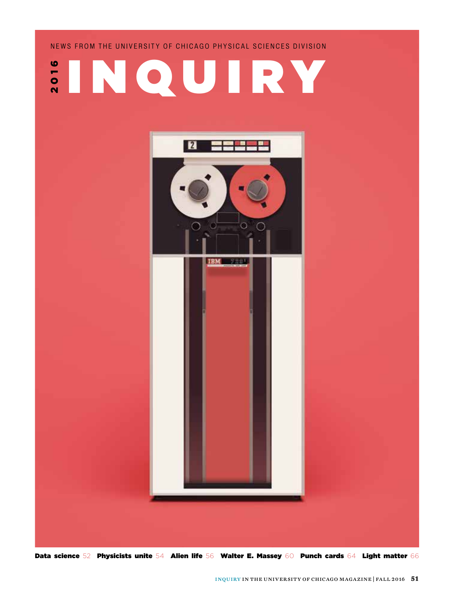

NEWS FROM THE UNIVERSITY OF CHICAGO PHYSICAL SCIENCES DIVISION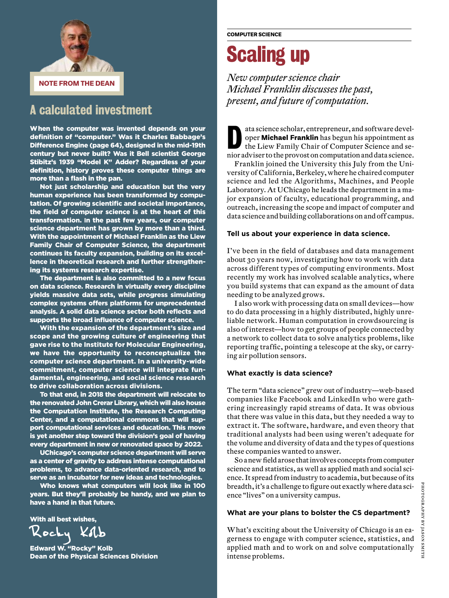

#### A calculated investment

When the computer was invented depends on your definition of "computer." Was it Charles Babbage's Difference Engine (page 64), designed in the mid-19th century but never built? Was it Bell scientist George Stibitz's 1939 "Model K" Adder? Regardless of your definition, history proves these computer things are more than a flash in the pan.

Not just scholarship and education but the very human experience has been transformed by computation. Of growing scientific and societal importance, the field of computer science is at the heart of this transformation. **I**n the past few years, our computer science department has grown by more than a third. With the appointment of Michael Franklin as the Liew Family Chair of Computer Science, the department continues its faculty expansion, building on its excellence in theoretical research and further strengthening its systems research expertise.

The department is also committed to a new focus on data science. Research in virtually every discipline yields massive data sets, while progress simulating complex systems offers platforms for unprecedented analysis. A solid data science sector both reflects and supports the broad influence of computer science.

With the expansion of the department's size and scope and the growing culture of engineering that gave rise to the Institute for Molecular Engineering, we have the opportunity to reconceptualize the computer science department. In a university-wide commitment, computer science will integrate fundamental, engineering, and social science research to drive collaboration across divisions.

To that end, in 2018 the department will relocate to the renovated John Crerar Library, which will also house the Computation Institute, the Research Computing Center, and a computational commons that will support computational services and education. This move is yet another step toward the division's goal of having every department in new or renovated space by 2022.

UChicago's computer science department will serve as a center of gravity to address intense computational problems, to advance data-oriented research, and to serve as an incubator for new ideas and technologies.

Who knows what computers will look like in 100 years. But they'll probably be handy, and we plan to have a hand in that future.

With all best wishes,

**Z** ocky

Edward W. "Rocky" Kolb Dean of the Physical Sciences Division

## Scaling up

*New computer science chair Michael Franklin discusses the past, present, and future of computation.*

ata science scholar, entrepreneur, and software devel-<br>oper **Michael Franklin** has begun his appointment as<br>the Liew Family Chair of Computer Science and seoper **Michael Franklin** has begun his appointment as the Liew Family Chair of Computer Science and senior adviser to the provost on computation and data science.

Franklin joined the University this July from the University of California, Berkeley, where he chaired computer science and led the Algorithms, Machines, and People Laboratory. At UChicago he leads the department in a major expansion of faculty, educational programming, and outreach, increasing the scope and impact of computer and data science and building collaborations on and off campus.

#### **Tell us about your experience in data science.**

I've been in the field of databases and data management about 30 years now, investigating how to work with data across different types of computing environments. Most recently my work has involved scalable analytics, where you build systems that can expand as the amount of data needing to be analyzed grows.

I also work with processing data on small devices—how to do data processing in a highly distributed, highly unreliable network. Human computation in crowdsourcing is also of interest—how to get groups of people connected by a network to collect data to solve analytics problems, like reporting traffic, pointing a telescope at the sky, or carrying air pollution sensors.

#### **What exactly is data science?**

The term "data science" grew out of industry—web-based companies like Facebook and LinkedIn who were gathering increasingly rapid streams of data. It was obvious that there was value in this data, but they needed a way to extract it. The software, hardware, and even theory that traditional analysts had been using weren't adequate for the volume and diversity of data and the types of questions these companies wanted to answer.

So a new field arose that involves concepts from computer science and statistics, as well as applied math and social science. It spread from industry to academia, but because of its breadth, it's a challenge to figure out exactly where data science "lives" on a university campus.

#### **What are your plans to bolster the CS department?**

What's exciting about the University of Chicago is an eagerness to engage with computer science, statistics, and applied math and to work on and solve computationally intense problems.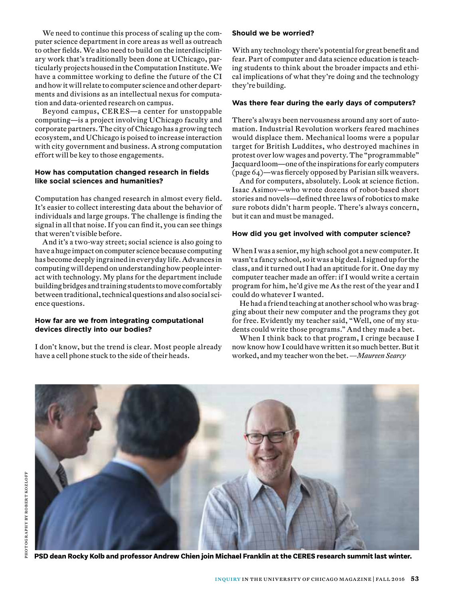We need to continue this process of scaling up the computer science department in core areas as well as outreach to other fields. We also need to build on the interdisciplinary work that's traditionally been done at UChicago, particularly projects housed in the Computation Institute. We have a committee working to define the future of the CI and how it will relate to computer science and other departments and divisions as an intellectual nexus for computation and data-oriented research on campus.

Beyond campus, CER ES—a center for unstoppable computing—is a project involving UChicago faculty and corporate partners. The city of Chicago has a growing tech ecosystem, and UChicago is poised to increase interaction with city government and business. A strong computation effort will be key to those engagements.

#### **How has computation changed research in fields like social sciences and humanities?**

Computation has changed research in almost every field. It's easier to collect interesting data about the behavior of individuals and large groups. The challenge is finding the signal in all that noise. If you can find it, you can see things that weren't visible before.

And it's a two-way street; social science is also going to have a huge impact on computer science because computing has become deeply ingrained in everyday life. Advances in computing will depend on understanding how people interact with technology. My plans for the department include building bridges and training students to move comfortably between traditional, technical questions and also social science questions.

#### **How far are we from integrating computational devices directly into our bodies?**

I don't know, but the trend is clear. Most people already have a cell phone stuck to the side of their heads.

#### **Should we be worried?**

With any technology there's potential for great benefit and fear. Part of computer and data science education is teaching students to think about the broader impacts and ethical implications of what they're doing and the technology they're building.

#### **Was there fear during the early days of computers?**

There's always been nervousness around any sort of automation. Industrial Revolution workers feared machines would displace them. Mechanical looms were a popular target for British Luddites, who destroyed machines in protest over low wages and poverty. The "programmable" Jacquard loom—one of the inspirations for early computers (page 64)—was fiercely opposed by Parisian silk weavers.

And for computers, absolutely. Look at science fiction. Isaac Asimov—who wrote dozens of robot-based short stories and novels—defined three laws of robotics to make sure robots didn't harm people. There's always concern, but it can and must be managed.

#### **How did you get involved with computer science?**

When I was a senior, my high school got a new computer. It wasn't a fancy school, so it was a big deal. I signed up for the class, and it turned out I had an aptitude for it. One day my computer teacher made an offer: if I would write a certain program for him, he'd give me As the rest of the year and I could do whatever I wanted.

He had a friend teaching at another school who was bragging about their new computer and the programs they got for free. Evidently my teacher said, "Well, one of my students could write those programs." And they made a bet.

When I think back to that program, I cringe because I now know how I could have written it so much better. But it worked, and my teacher won the bet. *—Maureen Searcy*



**PSD dean Rocky Kolb and professor Andrew Chien join Michael Franklin at the CERES research summit last winter.**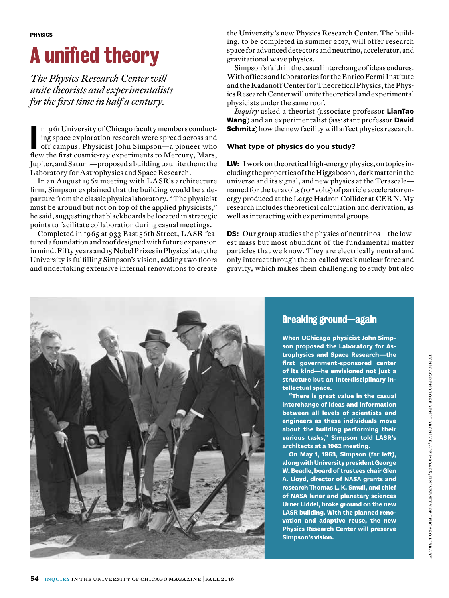## A unified theory

*The Physics Research Center will unite theorists and experimentalists for the first time in half a century.*

n 1961 University of Chicago faculty members conducting space exploration research were spread across and off campus. Physicist John Simpson—a pioneer who flew the first cosmic-ray experiments to Mercury, Mars, n 1961 University of Chicago faculty members conducting space exploration research were spread across and off campus. Physicist John Simpson—a pioneer who Jupiter, and Saturn—proposed a building to unite them: the Laboratory for Astrophysics and Space Research.

In an August 1962 meeting with LASR's architecture firm, Simpson explained that the building would be a departure from the classic physics laboratory. "The physicist must be around but not on top of the applied physicists," he said, suggesting that blackboards be located in strategic points to facilitate collaboration during casual meetings.

Completed in 1965 at 933 East 56th Street, LASR featured a foundation and roof designed with future expansion in mind. Fifty years and 15 Nobel Prizes in Physics later, the University is fulfilling Simpson's vision, adding two floors and undertaking extensive internal renovations to create

the University's new Physics Research Center. The building, to be completed in summer 2017, will offer research space for advanced detectors and neutrino, accelerator, and gravitational wave physics.

Simpson's faith in the casual interchange of ideas endures. With offices and laboratories for the Enrico Fermi Institute and the Kadanoff Center for Theoretical Physics, the Physics Research Center will unite theoretical and experimental physicists under the same roof.

*Inquiry* asked a theorist (associate professor **LianTao Wang**) and an experimentalist (assistant professor **David Schmitz**) how the new facility will affect physics research.

#### **What type of physics do you study?**

**LW:** I work on theoretical high-energy physics, on topics including the properties of the Higgs boson, dark matter in the universe and its signal, and new physics at the Terascale named for the teravolts (10<sup>12</sup> volts) of particle accelerator energy produced at the Large Hadron Collider at CERN. My research includes theoretical calculation and derivation, as well as interacting with experimental groups.

**DS:** Our group studies the physics of neutrinos—the lowest mass but most abundant of the fundamental matter particles that we know. They are electrically neutral and only interact through the so-called weak nuclear force and gravity, which makes them challenging to study but also



#### Breaking ground—again

**When UChicago physicist John Simpson proposed the Laboratory for Astrophysics and Space Research—the first government-sponsored center of its kind—he envisioned not just a structure but an interdisciplinary intellectual space.** 

**"There is great value in the casual interchange of ideas and information between all levels of scientists and engineers as these individuals move about the building performing their various tasks," Simpson told LASR's architects at a 1962 meeting.** 

**On May 1, 1963, Simpson (far left), along with Universitypresident George W. Beadle, board of trustees chair Glen A. Lloyd, director of NASA grants and research Thomas L. K. Smull, and chief of NASA lunar and planetary sciences Urner Liddel, broke ground on the new LASR building. With the planned renovation and adaptive reuse, the new Physics Research Center will preserve Simpson's vision.**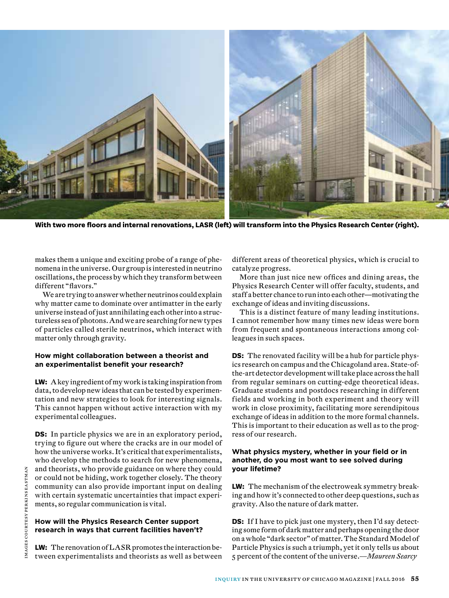

**With two more floors and internal renovations, LASR (left) will transform into the Physics Research Center (right).**

makes them a unique and exciting probe of a range of phenomena in the universe. Our group is interested in neutrino oscillations, the process by which they transform between different "flavors."

We are trying to answer whether neutrinos could explain why matter came to dominate over antimatter in the early universe instead of just annihilating each other into a structureless sea of photons. And we are searching for new types of particles called sterile neutrinos, which interact with matter only through gravity.

#### **How might collaboration between a theorist and an experimentalist benefit your research?**

**LW:** A key ingredient of my work is taking inspiration from data, to develop new ideas that can be tested by experimentation and new strategies to look for interesting signals. This cannot happen without active interaction with my experimental colleagues.

**DS:** In particle physics we are in an exploratory period, trying to figure out where the cracks are in our model of how the universe works. It's critical that experimentalists, who develop the methods to search for new phenomena, and theorists, who provide guidance on where they could or could not be hiding, work together closely. The theory community can also provide important input on dealing with certain systematic uncertainties that impact experiments, so regular communication is vital.

#### **How will the Physics Research Center support research in ways that current facilities haven't?**

**LW:** The renovation of LASR promotes the interaction between experimentalists and theorists as well as between different areas of theoretical physics, which is crucial to catalyze progress.

More than just nice new offices and dining areas, the Physics Research Center will offer faculty, students, and staff a better chance to run into each other—motivating the exchange of ideas and inviting discussions.

This is a distinct feature of many leading institutions. I cannot remember how many times new ideas were born from frequent and spontaneous interactions among colleagues in such spaces.

**DS:** The renovated facility will be a hub for particle physics research on campus and the Chicagoland area. State-ofthe-art detector development will take place across the hall from regular seminars on cutting-edge theoretical ideas. Graduate students and postdocs researching in different fields and working in both experiment and theory will work in close proximity, facilitating more serendipitous exchange of ideas in addition to the more formal channels. This is important to their education as well as to the progress of our research.

#### **What physics mystery, whether in your field or in another, do you most want to see solved during your lifetime?**

**LW:** The mechanism of the electroweak symmetry breaking and how it's connected to other deep questions, such as gravity. Also the nature of dark matter.

**DS:** If I have to pick just one mystery, then I'd say detecting some form of dark matter and perhaps opening the door on a whole "dark sector" of matter. The Standard Model of Particle Physics is such a triumph, yet it only tells us about 5 percent of the content of the universe.*—Maureen Searcy*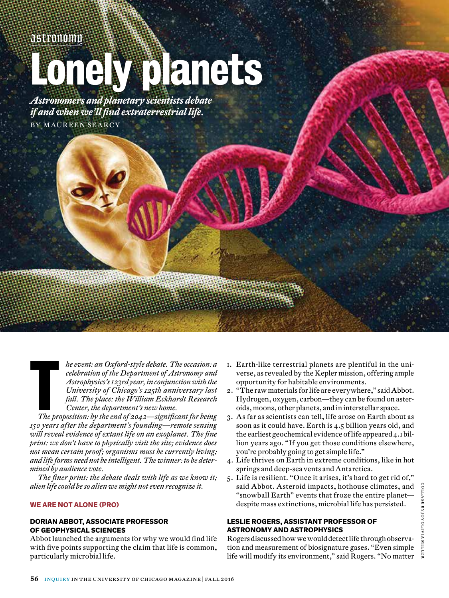*astronomy*

## Lonely planets

*Astronomers and planetary scientists debate if and when we'll find extraterrestrial life.* BY MAUREEN SEARCY

> *he event: an Oxford-style debate. The occasion: a celebration of the Department of Astronomy and Astrophysics's 123rd year, in conjunction with the University of Chicago's 125th anniversary last fall. The place: the William Eckhardt Research Center, the department's new home.*

The pr *The proposition: by the end of 2042—significant for being 150 years after the department's founding—remote sensing will reveal evidence of extant life on an exoplanet. The fine print: we don't have to physically visit the site; evidence does not mean certain proof; organisms must be currently living; and life forms need not be intelligent. The winner: to be determined by audience vote.*

*The finer print: the debate deals with life as we know it; alien life could be so alien we might not even recognize it.*

#### **WE ARE NOT ALONE (PRO)**

#### **DORIAN ABBOT, ASSOCIATE PROFESSOR OF GEOPHYSICAL SCIENCES**

Abbot launched the arguments for why we would find life with five points supporting the claim that life is common, particularly microbial life.

- 1. Earth-like terrestrial planets are plentiful in the universe, as revealed by the Kepler mission, offering ample opportunity for habitable environments.
- 2. "The raw materials for life are everywhere," said Abbot. Hydrogen, oxygen, carbon—they can be found on asteroids, moons, other planets, and in interstellar space.
- 3. As far as scientists can tell, life arose on Earth about as soon as it could have. Earth is 4.5 billion years old, and the earliest geochemical evidence of life appeared 4.1 billion years ago. "If you get those conditions elsewhere, you're probably going to get simple life."
- 4. Life thrives on Earth in extreme conditions, like in hot springs and deep-sea vents and Antarctica.
- 5. Life is resilient. "Once it arises, it's hard to get rid of," said Abbot. Asteroid impacts, hothouse climates, and "snowball Earth" events that froze the entire planet despite mass extinctions, microbial life has persisted.

#### **LESLIE ROGERS, ASSISTANT PROFESSOR OF ASTRONOMY AND ASTROPHYSICS**

Rogers discussed how we would detect life through observation and measurement of biosignature gases. "Even simple life will modify its environment," said Rogers. "No matter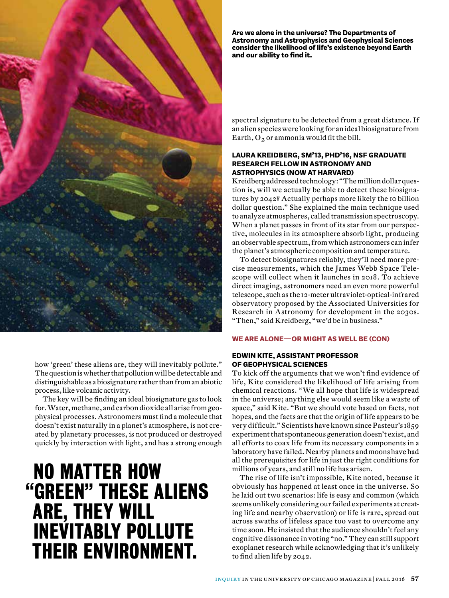

how 'green' these aliens are, they will inevitably pollute." The question is whether that pollution will be detectable and distinguishable as a biosignature rather than from an abiotic process, like volcanic activity.

The key will be finding an ideal biosignature gas to look for. Water, methane, and carbon dioxide all arise from geophysical processes. Astronomers must find a molecule that doesn't exist naturally in a planet's atmosphere, is not created by planetary processes, is not produced or destroyed quickly by interaction with light, and has a strong enough

## NO MATTER HOW "GREEN" THESE ALIENS ARE, THEY WILL INEVITABLY POLLUTE THEIR ENVIRONMENT.

**Are we alone in the universe? The Departments of Astronomy and Astrophysics and Geophysical Sciences consider the likelihood of life's existence beyond Earth and our ability to find it.**

spectral signature to be detected from a great distance. If an alien species were looking for an ideal biosignature from Earth,  $O_2$  or ammonia would fit the bill.

#### **LAURA KREIDBERG, SM'13, PHD'16, NSF GRADUATE RESEARCH FELLOW IN ASTRONOMY AND ASTROPHYSICS (NOW AT HARVARD)**

Kreidberg addressed technology: "The million dollar question is, will we actually be able to detect these biosignatures by 2042? Actually perhaps more likely the 10 billion dollar question." She explained the main technique used to analyze atmospheres, called transmission spectroscopy. When a planet passes in front of its star from our perspective, molecules in its atmosphere absorb light, producing an observable spectrum, from which astronomers can infer the planet's atmospheric composition and temperature.

To detect biosignatures reliably, they'll need more precise measurements, which the James Webb Space Telescope will collect when it launches in 2018. To achieve direct imaging, astronomers need an even more powerful telescope, such as the 12-meter ultraviolet-optical-infrared observatory proposed by the Associated Universities for Research in Astronomy for development in the 2030s. "Then," said Kreidberg, "we'd be in business."

#### **WE ARE ALONE—OR MIGHT AS WELL BE (CON)**

#### **EDWIN KITE, ASSISTANT PROFESSOR OF GEOPHYSICAL SCIENCES**

To kick off the arguments that we won't find evidence of life, Kite considered the likelihood of life arising from chemical reactions. "We all hope that life is widespread in the universe; anything else would seem like a waste of space," said Kite. "But we should vote based on facts, not hopes, and the facts are that the origin of life appears to be very difficult." Scientists have known since Pasteur's 1859 experiment that spontaneous generation doesn't exist, and all efforts to coax life from its necessary components in a laboratory have failed. Nearby planets and moons have had all the prerequisites for life in just the right conditions for millions of years, and still no life has arisen.

The rise of life isn't impossible, Kite noted, because it obviously has happened at least once in the universe. So he laid out two scenarios: life is easy and common (which seems unlikely considering our failed experiments at creating life and nearby observation) or life is rare, spread out across swaths of lifeless space too vast to overcome any time soon. He insisted that the audience shouldn't feel any cognitive dissonance in voting "no." They can still support exoplanet research while acknowledging that it's unlikely to find alien life by 2042.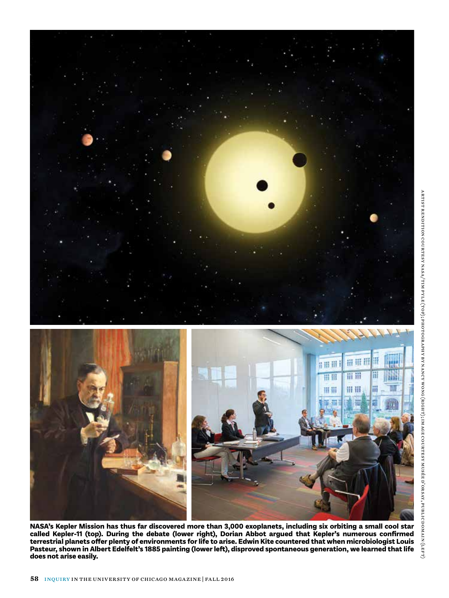

**NASA's Kepler Mission has thus far discovered more than 3,000 exoplanets, including six orbiting a small cool star called Kepler-11 (top). During the debate (lower right), Dorian Abbot argued that Kepler's numerous confirmed terrestrial planets offer plenty of environments for life to arise. Edwin Kite countered that when microbiologist Louis Pasteur, shown in Albert Edelfelt's 1885 painting (lower left), disproved spontaneous generation, we learned that life does not arise easily.**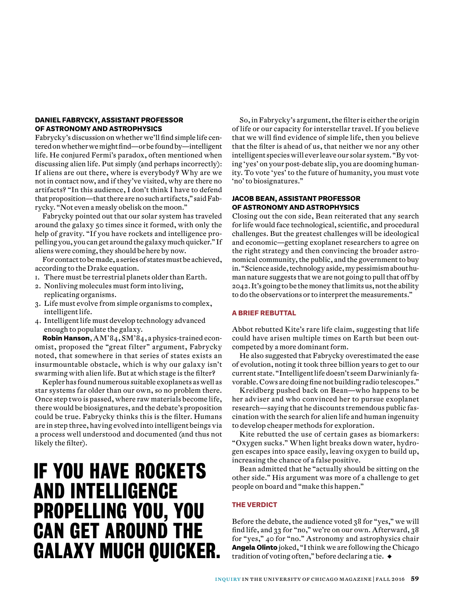#### **DANIEL FABRYCKY, ASSISTANT PROFESSOR OF ASTRONOMY AND ASTROPHYSICS**

Fabrycky's discussion on whether we'll find simple life centered on whether we might find—or be found by—intelligent life. He conjured Fermi's paradox, often mentioned when discussing alien life. Put simply (and perhaps incorrectly): If aliens are out there, where is everybody? Why are we not in contact now, and if they've visited, why are there no artifacts? "In this audience, I don't think I have to defend that proposition—that there are no such artifacts," said Fabrycky. "Not even a measly obelisk on the moon."

Fabrycky pointed out that our solar system has traveled around the galaxy 50 times since it formed, with only the help of gravity. "If you have rockets and intelligence propelling you, you can get around the galaxy much quicker." If aliens were coming, they should be here by now.

For contact to be made, a series of states must be achieved, according to the Drake equation.

- 1. There must be terrestrial planets older than Earth.
- 2. Nonliving molecules must form into living, replicating organisms.
- 3. Life must evolve from simple organisms to complex, intelligent life.
- 4. Intelligent life must develop technology advanced enough to populate the galaxy.

**Robin Hanson**, AM'84, SM'84, a physics-trained economist, proposed the "great filter" argument, Fabrycky noted, that somewhere in that series of states exists an insurmountable obstacle, which is why our galaxy isn't swarming with alien life. But at which stage is the filter?

Kepler has found numerous suitable exoplanets as well as star systems far older than our own, so no problem there. Once step two is passed, where raw materials become life, there would be biosignatures, and the debate's proposition could be true. Fabrycky thinks this is the filter. Humans are in step three, having evolved into intelligent beings via a process well understood and documented (and thus not likely the filter).

## IF YOU HAVE ROCKETS AND INTELLIGENCE PROPELLING YOU, YOU CAN GET AROUND THE GALAXY MUCH QUICKER.

So, in Fabrycky's argument, the filter is either the origin of life or our capacity for interstellar travel. If you believe that we will find evidence of simple life, then you believe that the filter is ahead of us, that neither we nor any other intelligent species will ever leave our solar system. "By voting 'yes' on your post-debate slip, you are dooming humanity. To vote 'yes' to the future of humanity, you must vote 'no' to biosignatures."

#### **JACOB BEAN, ASSISTANT PROFESSOR OF ASTRONOMY AND ASTROPHYSICS**

Closing out the con side, Bean reiterated that any search for life would face technological, scientific, and procedural challenges. But the greatest challenges will be ideological and economic—getting exoplanet researchers to agree on the right strategy and then convincing the broader astronomical community, the public, and the government to buy in. "Science aside, technology aside, my pessimism about human nature suggests that we are not going to pull that off by 2042. It's going to be the money that limits us, not the ability to do the observations or to interpret the measurements."

#### **A BRIEF REBUTTAL**

Abbot rebutted Kite's rare life claim, suggesting that life could have arisen multiple times on Earth but been outcompeted by a more dominant form.

He also suggested that Fabrycky overestimated the ease of evolution, noting it took three billion years to get to our current state. "Intelligent life doesn't seem Darwinianly favorable. Cows are doing fine not building radio telescopes."

Kreidberg pushed back on Bean—who happens to be her adviser and who convinced her to pursue exoplanet research—saying that he discounts tremendous public fascination with the search for alien life and human ingenuity to develop cheaper methods for exploration.

Kite rebutted the use of certain gases as biomarkers: "Oxygen sucks." When light breaks down water, hydrogen escapes into space easily, leaving oxygen to build up, increasing the chance of a false positive.

Bean admitted that he "actually should be sitting on the other side." His argument was more of a challenge to get people on board and "make this happen."

#### **THE VERDICT**

Before the debate, the audience voted 38 for "yes," we will find life, and 33 for "no," we're on our own. Afterward, 38 for "yes," 40 for "no." Astronomy and astrophysics chair **Angela Olinto** joked, "I think we are following the Chicago tradition of voting often," before declaring a tie. ◆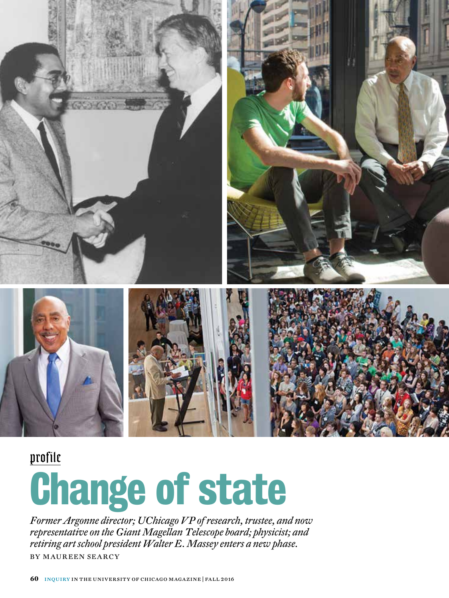

### *profile*

# Change of state

*Former Argonne director; UChicago VP of research, trustee, and now representative on the Giant Magellan Telescope board; physicist; and retiring art school president Walter E. Massey enters a new phase.* **BY MAUREEN SEARCY**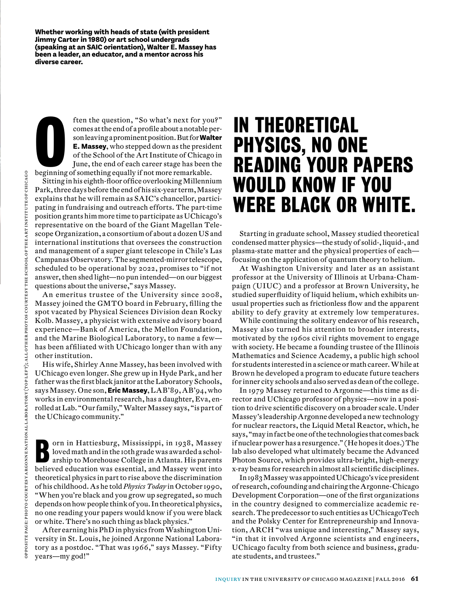**Whether working with heads of state (with president Jimmy Carter in 1980) or art school undergrads (speaking at an SAIC orientation), Walter E. Massey has been a leader, an educator, and a mentor across his diverse career.**

ften the question, "So what's next for you comes at the end of a profile about a notable p<br>son leaving a prominent position. But for **Wal**<br>E. **Massey**, who stepped down as the presid<br>of the School of the Art Institute of C ften the question, "So what's next for you?" comes at the end of a profile about a notable person leaving a prominent position. But for **Walter E. Massey**, who stepped down as the president of the School of the Art Institute of Chicago in June, the end of each career stage has been the

Sitting in his eighth-floor office overlooking Millennium Park, three days before the end of his six-year term, Massey explains that he will remain as SAIC's chancellor, participating in fundraising and outreach efforts. The part-time position grants him more time to participate as UChicago's representative on the board of the Giant Magellan Telescope Organization, a consortium of about a dozen US and international institutions that oversees the construction and management of a super giant telescope in Chile's Las Campanas Observatory. The segmented-mirror telescope, scheduled to be operational by 2022, promises to "if not answer, then shed light—no pun intended—on our biggest questions about the universe," says Massey.

An emeritus trustee of the University since 2008, Massey joined the GMTO board in February, filling the spot vacated by Physical Sciences Division dean Rocky Kolb. Massey, a physicist with extensive advisory board experience—Bank of America, the Mellon Foundation, and the Marine Biological Laboratory, to name a few has been affiliated with UChicago longer than with any other institution.

His wife, Shirley Anne Massey, has been involved with UChicago even longer. She grew up in Hyde Park, and her father was the first black janitor at the Laboratory Schools, says Massey. One son, **Eric Massey**, LAB'89, AB'94, who works in environmental research, has a daughter, Eva, enrolled at Lab. "Our family," Walter Massey says, "is part of the UChicago community."

O orn in Hattiesburg, Mississippi, in 1938, Massey loved math and in the 10th grade was awarded a scholarship to Morehouse College in Atlanta. His parents believed education was essential, and Massey went into theoretical physics in part to rise above the discrimination of his childhood. As he told *Physics Today* in October 1990, "When you're black and you grow up segregated, so much depends on how people think of you. In theoretical physics, no one reading your papers would know if you were black or white. There's no such thing as black physics."

After earning his PhD in physics from Washington University in St. Louis, he joined Argonne National Laboratory as a postdoc. "That was 1966," says Massey. "Fifty years—my god!"

### IN THEORETICAL PHYSICS, NO ONE READING YOUR PAPERS WOULD KNOW IF YOU WERE BLACK OR WHITE.

Starting in graduate school, Massey studied theoretical condensed matter physics—the study of solid-, liquid-, and plasma-state matter and the physical properties of each focusing on the application of quantum theory to helium.

At Washington University and later as an assistant professor at the University of Illinois at Urbana-Champaign (UIUC) and a professor at Brown University, he studied superfluidity of liquid helium, which exhibits unusual properties such as frictionless flow and the apparent ability to defy gravity at extremely low temperatures.

While continuing the solitary endeavor of his research, Massey also turned his attention to broader interests, motivated by the 1960s civil rights movement to engage with society. He became a founding trustee of the Illinois Mathematics and Science Academy, a public high school for students interested in a science or math career. While at Brown he developed a program to educate future teachers for inner city schools and also served as dean of the college.

In 1979 Massey returned to Argonne—this time as director and UChicago professor of physics—now in a position to drive scientific discovery on a broader scale. Under Massey's leadership Argonne developed a new technology for nuclear reactors, the Liquid Metal Reactor, which, he says, "may in fact be one of the technologies that comes back if nuclear power has a resurgence." (He hopes it does.) The lab also developed what ultimately became the Advanced Photon Source, which provides ultra-bright, high-energy x-ray beams for research in almost all scientific disciplines.

In 1983 Massey was appointed UChicago's vice president of research, cofounding and chairing the Argonne-Chicago Development Corporation—one of the first organizations in the country designed to commercialize academic research. The predecessor to such entities as UChicagoTech and the Polsky Center for Entrepreneurship and Innovation, ARCH "was unique and interesting," Massey says, "in that it involved Argonne scientists and engineers, UChicago faculty from both science and business, graduate students, and trustees."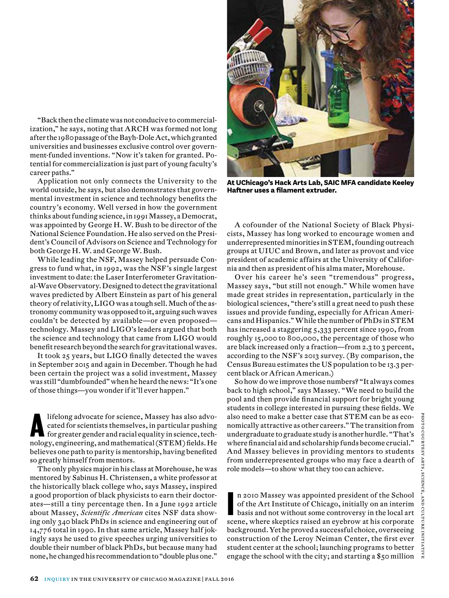"Back then the climate was not conducive to commercialization," he says, noting that ARCH was formed not long after the 1980 passage of the Bayh-Dole Act, which granted universities and businesses exclusive control over government-funded inventions. "Now it's taken for granted. Potential for commercialization is just part of young faculty's career paths."

Application not only connects the University to the world outside, he says, but also demonstrates that governmental investment in science and technology benefits the country's economy. Well versed in how the government thinks about funding science, in 1991 Massey, a Democrat, was appointed by George H. W. Bush to be director of the National Science Foundation. He also served on the President's Council of Advisors on Science and Technology for both George H. W. and George W. Bush.

While leading the NSF, Massey helped persuade Congress to fund what, in 1992, was the NSF's single largest investment to date: the Laser Interferometer Gravitational-Wave Observatory. Designed to detect the gravitational waves predicted by Albert Einstein as part of his general theory of relativity, LIGO was a tough sell. Much of the astronomy community was opposed to it, arguing such waves couldn't be detected by available—or even proposed technology. Massey and LIGO's leaders argued that both the science and technology that came from LIGO would benefit research beyond the search for gravitational waves.

It took 25 years, but LIGO finally detected the waves in September 2015 and again in December. Though he had been certain the project was a solid investment, Massey was still "dumbfounded" when he heard the news: "It's one of those things—you wonder if it'll ever happen."

lifelong advocate for science, Massey has also advocated for scientists themselves, in particular pushing for greater gender and racial equality in science, technology, engineering, and mathematical (STEM) fields. He believes one path to parity is mentorship, having benefited so greatly himself from mentors.

The only physics major in his class at Morehouse, he was mentored by Sabinus H. Christensen, a white professor at the historically black college who, says Massey, inspired a good proportion of black physicists to earn their doctorates—still a tiny percentage then. In a June 1992 article about Massey, *Scientific American* cites NSF data showing only 340 black PhDs in science and engineering out of 14,776 total in 1990. In that same article, Massey half jokingly says he used to give speeches urging universities to double their number of black PhDs, but because many had none, he changed his recommendation to "double plus one."



**At UChicago's Hack Arts Lab, SAIC MFA candidate Keeley Haftner uses a filament extruder.**

A cofounder of the National Society of Black Physicists, Massey has long worked to encourage women and underrepresented minorities in STEM, founding outreach groups at UIUC and Brown, and later as provost and vice president of academic affairs at the University of California and then as president of his alma mater, Morehouse.

Over his career he's seen "tremendous" progress, Massey says, "but still not enough." While women have made great strides in representation, particularly in the biological sciences, "there's still a great need to push these issues and provide funding, especially for African Americans and Hispanics." While the number of PhDs in STEM has increased a staggering 5,333 percent since 1990, from roughly 15,000 to 800,000, the percentage of those who are black increased only a fraction—from 2.3 to 3 percent, according to the NSF's 2013 survey. (By comparison, the Census Bureau estimates the US population to be 13.3 percent black or African American.)

So how do we improve those numbers? "It always comes back to high school," says Massey. "We need to build the pool and then provide financial support for bright young students in college interested in pursuing these fields. We also need to make a better case that STEM can be as economically attractive as other careers." The transition from undergraduate to graduate study is another hurdle. "That's where financial aid and scholarship funds become crucial." And Massey believes in providing mentors to students from underrepresented groups who may face a dearth of role models—to show what they too can achieve.

n 2010 Massey was appointed president of the School<br>of the Art Institute of Chicago, initially on an interim<br>basis and not without some controversy in the local art<br>are a vector of the school of a vector with the compact n 2010 Massey was appointed president of the School of the Art Institute of Chicago, initially on an interim scene, where skeptics raised an eyebrow at his corporate background. Yet he proved a successful choice, overseeing construction of the Leroy Neiman Center, the first ever student center at the school; launching programs to better engage the school with the city; and starting a \$50 million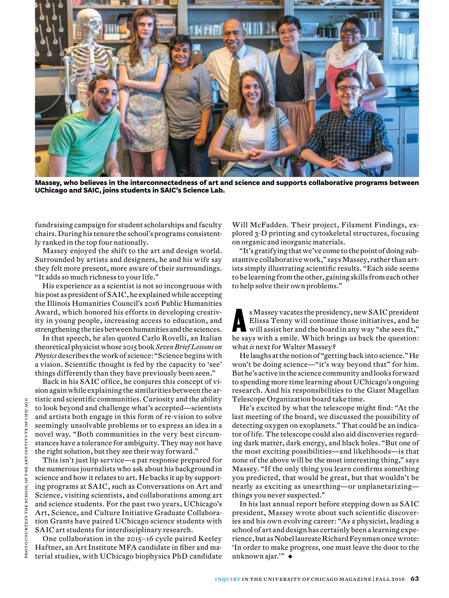

**Massey, who believes in the interconnectedness of art and science and supports collaborative programs between UChicago and SAIC, joins students in SAIC's Science Lab.**

fundraising campaign for student scholarships and faculty chairs. During his tenure the school's programs consistently ranked in the top four nationally.

Massey enjoyed the shift to the art and design world. Surrounded by artists and designers, he and his wife say they felt more present, more aware of their surroundings. "It adds so much richness to your life."

His experience as a scientist is not so incongruous with his post as president of SAIC, he explained while accepting the Illinois Humanities Council's 2016 Public Humanities Award, which honored his efforts in developing creativity in young people, increasing access to education, and strengthening the ties between humanities and the sciences.

In that speech, he also quoted Carlo Rovelli, an Italian theoretical physicist whose 2015 book *Seven Brief Lessons on Physics* describes the work of science: "Science begins with a vision. Scientific thought is fed by the capacity to 'see' things differently than they have previously been seen."

Back in his SAIC office, he conjures this concept of vision again while explaining the similarities between the artistic and scientific communities. Curiosity and the ability to look beyond and challenge what's accepted—scientists and artists both engage in this form of re-vision to solve seemingly unsolvable problems or to express an idea in a novel way. "Both communities in the very best circumstances have a tolerance for ambiguity. They may not have the right solution, but they see their way forward."

This isn't just lip service—a pat response prepared for the numerous journalists who ask about his background in science and how it relates to art. He backs it up by supporting programs at SAIC, such as Conversations on Art and Science, visiting scientists, and collaborations among art and science students. For the past two years, UChicago's Art, Science, and Culture Initiative Graduate Collaboration Grants have paired UChicago science students with SAIC art students for interdisciplinary research.

One collaboration in the 2015–16 cycle paired Keeley Haftner, an Art Institute MFA candidate in fiber and material studies, with UChicago biophysics PhD candidate

Will McFadden. Their project, Filament Findings, explored 3-D printing and cytoskeletal structures, focusing on organic and inorganic materials.

"It's gratifying that we've come to the point of doing substantive collaborative work," says Massey, rather than artists simply illustrating scientific results. "Each side seems to be learning from the other, gaining skills from each other to help solve their own problems."

s Massey vacates the presidency, new SAIC president<br>Elissa Tenny will continue those initiatives, and he<br>will assist her and the board in any way "she sees fit,"<br>he says with a smile. Which brings us back the question: s Massey vacates the presidency, new SAIC president Elissa Tenny will continue those initiatives, and he will assist her and the board in any way "she sees fit," what *is* next for Walter Massey?

He laughs at the notion of "getting back into science." He won't be doing science—"it's way beyond that" for him. But he's active in the science community and looks forward to spending more time learning about UChicago's ongoing research. And his responsibilities to the Giant Magellan Telescope Organization board take time.

He's excited by what the telescope might find: "At the last meeting of the board, we discussed the possibility of detecting oxygen on exoplanets." That could be an indicator of life. The telescope could also aid discoveries regarding dark matter, dark energy, and black holes. "But one of the most exciting possibilities—and likelihoods—is that none of the above will be the most interesting thing," says Massey. "If the only thing you learn confirms something you predicted, that would be great, but that wouldn't be nearly as exciting as unearthing—or unplanetarizing things you never suspected."

In his last annual report before stepping down as SAIC president, Massey wrote about such scientific discoveries and his own evolving career: "As a physicist, leading a school of art and design has certainly been a learning experience, but as Nobel laureate Richard Feynman once wrote: 'In order to make progress, one must leave the door to the unknown ajar.'" ◆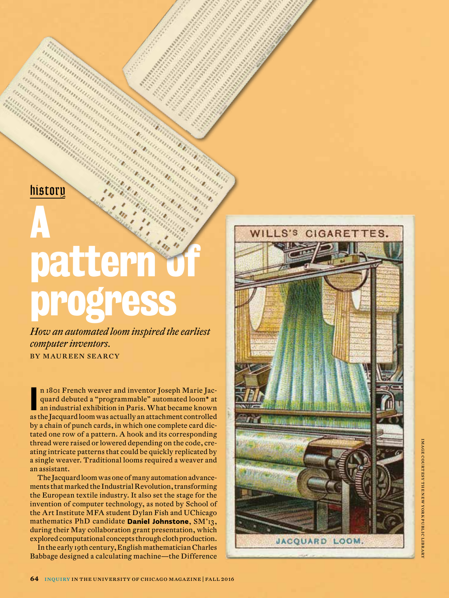*history*

## A pattern progress

*How an automated loom inspired the earliest computer inventors.* **BY MAUREEN SEARCY** 

n 1801 French weaver and inventor Joseph Marie Jacquard debuted a "programmable" automated loom\* at<br>an industrial exhibition in Paris. What became known<br>as the Jacquard loom was actually an attachment controlled n 1801 French weaver and inventor Joseph Marie Jac quard debuted a "programmable" automated loom\* at an industrial exhibition in Paris. What became known by a chain of punch cards, in which one complete card dic tated one row of a pattern. A hook and its corresponding thread were raised or lowered depending on the code, cre ating intricate patterns that could be quickly replicated by a single weaver. Traditional looms required a weaver and an assistant.

The Jacquard loom was one of many automation advance ments that marked the Industrial Revolution, transforming the European textile industry. It also set the stage for the invention of computer technology, as noted by School of the Art Institute MFA student Dylan Fish and UChicago mathematics PhD candidate **Daniel Johnstone**, SM'13, during their May collaboration grant presentation, which explored computational concepts through cloth production.

In the early 19th century, English mathematician Charles Babbage designed a calculating machine—the Difference

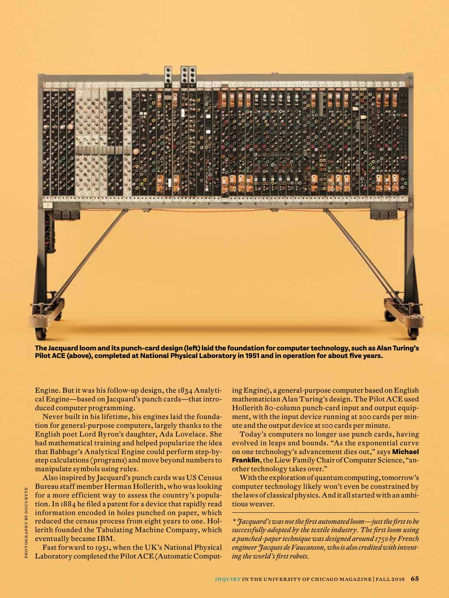

**The Jacquard loom and its punch-card design (left) laid the foundation for computer technology, such as Alan Turing's Pilot ACE (above), completed at National Physical Laboratory in 1951 and in operation for about five years.**

Engine. But it was his follow-up design, the 1834 Analytical Engine—based on Jacquard's punch cards—that introduced computer programming.

Never built in his lifetime, his engines laid the foundation for general-purpose computers, largely thanks to the English poet Lord Byron's daughter, Ada Lovelace. She had mathematical training and helped popularize the idea that Babbage's Analytical Engine could perform step-bystep calculations (programs) and move beyond numbers to manipulate symbols using rules.

Also inspired by Jacquard's punch cards was US Census Bureau staff member Herman Hollerith, who was looking for a more efficient way to assess the country's population. In 1884 he filed a patent for a device that rapidly read information encoded in holes punched on paper, which reduced the census process from eight years to one. Hollerith founded the Tabulating Machine Company, which eventually became IBM.

Fast forward to 1951, when the UK's National Physical Laboratory completed the Pilot ACE (Automatic Computing Engine), a general-purpose computer based on English mathematician Alan Turing's design. The Pilot ACE used Hollerith 80-column punch-card input and output equipment, with the input device running at 200 cards per minute and the output device at 100 cards per minute.

Today's computers no longer use punch cards, having evolved in leaps and bounds. "As the exponential curve on one technology's advancement dies out," says **Michael Franklin**, the Liew Family Chair of Computer Science, "another technology takes over."

With the exploration of quantum computing, tomorrow's computer technology likely won't even be constrained by the laws of classical physics. And it all started with an ambitious weaver.

*\* Jacquard's was not the first automated loom—just the first to be successfully adopted by the textile industry. The first loom using a punched-paper technique was designed around 1750 by French engineer Jacques de Vaucanson, who is also credited with inventing the world's first robots.*